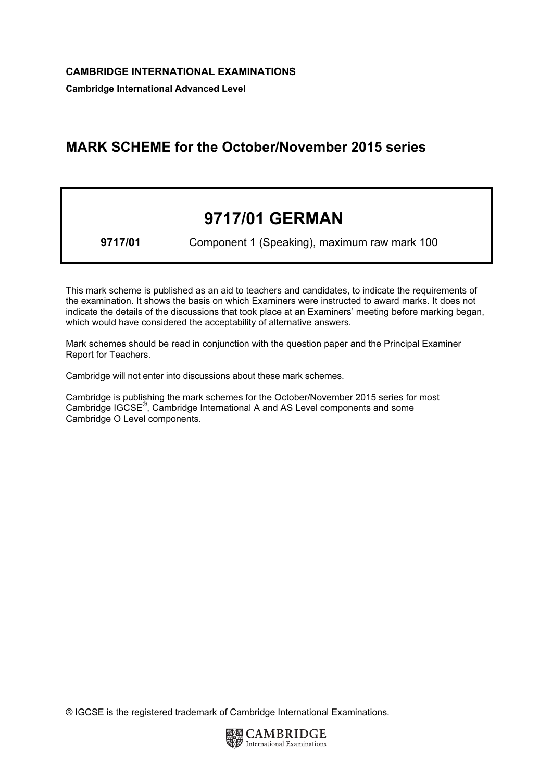Cambridge International Advanced Level

## MARK SCHEME for the October/November 2015 series

# 9717/01 GERMAN

9717/01 Component 1 (Speaking), maximum raw mark 100

This mark scheme is published as an aid to teachers and candidates, to indicate the requirements of the examination. It shows the basis on which Examiners were instructed to award marks. It does not indicate the details of the discussions that took place at an Examiners' meeting before marking began, which would have considered the acceptability of alternative answers.

Mark schemes should be read in conjunction with the question paper and the Principal Examiner Report for Teachers.

Cambridge will not enter into discussions about these mark schemes.

Cambridge is publishing the mark schemes for the October/November 2015 series for most Cambridge IGCSE*®* , Cambridge International A and AS Level components and some Cambridge O Level components.

® IGCSE is the registered trademark of Cambridge International Examinations.

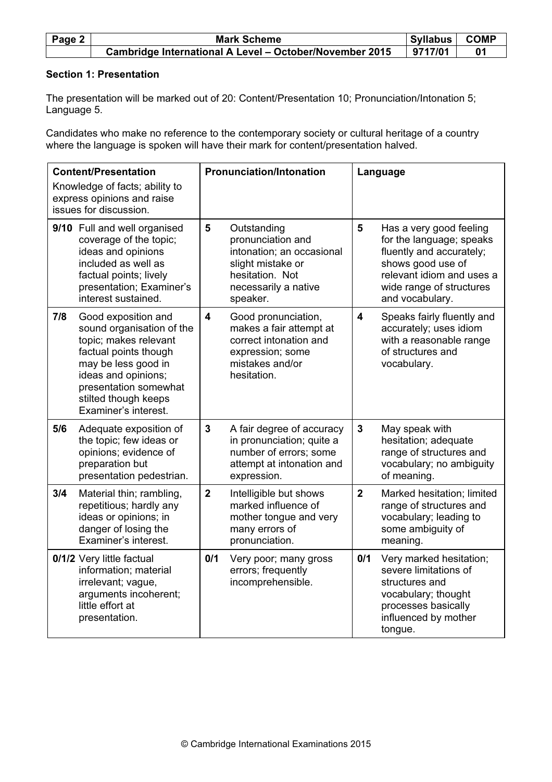| Page 2 | <b>Mark Scheme</b>                                      |         | <b>COMP</b><br><b>Syllabus</b> |
|--------|---------------------------------------------------------|---------|--------------------------------|
|        | Cambridge International A Level - October/November 2015 | 9717/01 |                                |

#### Section 1: Presentation

The presentation will be marked out of 20: Content/Presentation 10; Pronunciation/Intonation 5; Language 5.

Candidates who make no reference to the contemporary society or cultural heritage of a country where the language is spoken will have their mark for content/presentation halved.

| <b>Content/Presentation</b><br>Knowledge of facts; ability to<br>express opinions and raise<br>issues for discussion. |                                                                                                                                                                                                                           |                         | <b>Pronunciation/Intonation</b>                                                                                                           |                         | Language                                                                                                                                                                         |
|-----------------------------------------------------------------------------------------------------------------------|---------------------------------------------------------------------------------------------------------------------------------------------------------------------------------------------------------------------------|-------------------------|-------------------------------------------------------------------------------------------------------------------------------------------|-------------------------|----------------------------------------------------------------------------------------------------------------------------------------------------------------------------------|
|                                                                                                                       | 9/10 Full and well organised<br>coverage of the topic;<br>ideas and opinions<br>included as well as<br>factual points; lively<br>presentation; Examiner's<br>interest sustained.                                          | 5                       | Outstanding<br>pronunciation and<br>intonation; an occasional<br>slight mistake or<br>hesitation. Not<br>necessarily a native<br>speaker. | 5                       | Has a very good feeling<br>for the language; speaks<br>fluently and accurately;<br>shows good use of<br>relevant idiom and uses a<br>wide range of structures<br>and vocabulary. |
| 7/8                                                                                                                   | Good exposition and<br>sound organisation of the<br>topic; makes relevant<br>factual points though<br>may be less good in<br>ideas and opinions;<br>presentation somewhat<br>stilted though keeps<br>Examiner's interest. | $\overline{\mathbf{4}}$ | Good pronunciation,<br>makes a fair attempt at<br>correct intonation and<br>expression; some<br>mistakes and/or<br>hesitation.            | $\overline{\mathbf{4}}$ | Speaks fairly fluently and<br>accurately; uses idiom<br>with a reasonable range<br>of structures and<br>vocabulary.                                                              |
| 5/6                                                                                                                   | Adequate exposition of<br>the topic; few ideas or<br>opinions; evidence of<br>preparation but<br>presentation pedestrian.                                                                                                 | $\overline{3}$          | A fair degree of accuracy<br>in pronunciation; quite a<br>number of errors; some<br>attempt at intonation and<br>expression.              | $\overline{3}$          | May speak with<br>hesitation; adequate<br>range of structures and<br>vocabulary; no ambiguity<br>of meaning.                                                                     |
| 3/4                                                                                                                   | Material thin; rambling,<br>repetitious; hardly any<br>ideas or opinions; in<br>danger of losing the<br>Examiner's interest.                                                                                              | $\mathbf{2}$            | Intelligible but shows<br>marked influence of<br>mother tongue and very<br>many errors of<br>pronunciation.                               | $\overline{2}$          | Marked hesitation; limited<br>range of structures and<br>vocabulary; leading to<br>some ambiguity of<br>meaning.                                                                 |
|                                                                                                                       | 0/1/2 Very little factual<br>information; material<br>irrelevant; vague,<br>arguments incoherent;<br>little effort at<br>presentation.                                                                                    | 0/1                     | Very poor; many gross<br>errors; frequently<br>incomprehensible.                                                                          | 0/1                     | Very marked hesitation;<br>severe limitations of<br>structures and<br>vocabulary; thought<br>processes basically<br>influenced by mother<br>tongue.                              |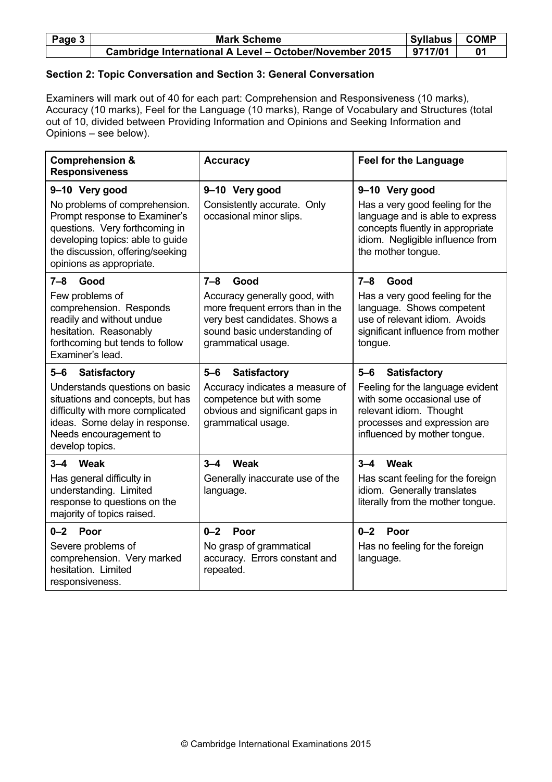| Page $3 \mid$ | <b>Mark Scheme</b>                                      |         | <b>COMP</b><br>⊪Syllabus I |
|---------------|---------------------------------------------------------|---------|----------------------------|
|               | Cambridge International A Level - October/November 2015 | 9717/01 |                            |

### Section 2: Topic Conversation and Section 3: General Conversation

Examiners will mark out of 40 for each part: Comprehension and Responsiveness (10 marks), Accuracy (10 marks), Feel for the Language (10 marks), Range of Vocabulary and Structures (total out of 10, divided between Providing Information and Opinions and Seeking Information and Opinions – see below).

| <b>Comprehension &amp;</b><br><b>Responsiveness</b>                                                                                                                                                  | <b>Accuracy</b>                                                                                                                                          | <b>Feel for the Language</b>                                                                                                                                     |
|------------------------------------------------------------------------------------------------------------------------------------------------------------------------------------------------------|----------------------------------------------------------------------------------------------------------------------------------------------------------|------------------------------------------------------------------------------------------------------------------------------------------------------------------|
| 9-10 Very good                                                                                                                                                                                       | 9-10 Very good                                                                                                                                           | 9-10 Very good                                                                                                                                                   |
| No problems of comprehension.<br>Prompt response to Examiner's<br>questions. Very forthcoming in<br>developing topics: able to guide<br>the discussion, offering/seeking<br>opinions as appropriate. | Consistently accurate. Only<br>occasional minor slips.                                                                                                   | Has a very good feeling for the<br>language and is able to express<br>concepts fluently in appropriate<br>idiom. Negligible influence from<br>the mother tongue. |
| $7 - 8$<br>Good                                                                                                                                                                                      | $7 - 8$<br>Good                                                                                                                                          | 7–8<br>Good                                                                                                                                                      |
| Few problems of<br>comprehension. Responds<br>readily and without undue<br>hesitation. Reasonably<br>forthcoming but tends to follow<br>Examiner's lead.                                             | Accuracy generally good, with<br>more frequent errors than in the<br>very best candidates. Shows a<br>sound basic understanding of<br>grammatical usage. | Has a very good feeling for the<br>language. Shows competent<br>use of relevant idiom. Avoids<br>significant influence from mother<br>tongue.                    |
| $5 - 6$<br><b>Satisfactory</b>                                                                                                                                                                       | $5-6$<br><b>Satisfactory</b>                                                                                                                             | $5-6$<br><b>Satisfactory</b>                                                                                                                                     |
| Understands questions on basic<br>situations and concepts, but has<br>difficulty with more complicated<br>ideas. Some delay in response.<br>Needs encouragement to<br>develop topics.                | Accuracy indicates a measure of<br>competence but with some<br>obvious and significant gaps in<br>grammatical usage.                                     | Feeling for the language evident<br>with some occasional use of<br>relevant idiom. Thought<br>processes and expression are<br>influenced by mother tongue.       |
| Weak<br>$3 - 4$                                                                                                                                                                                      | $3 - 4$<br>Weak                                                                                                                                          | $3 - 4$<br>Weak                                                                                                                                                  |
| Has general difficulty in<br>understanding. Limited<br>response to questions on the<br>majority of topics raised.                                                                                    | Generally inaccurate use of the<br>language.                                                                                                             | Has scant feeling for the foreign<br>idiom. Generally translates<br>literally from the mother tongue.                                                            |
| $0 - 2$<br>Poor                                                                                                                                                                                      | $0 - 2$<br>Poor                                                                                                                                          | $0 - 2$<br>Poor                                                                                                                                                  |
| Severe problems of<br>comprehension. Very marked<br>hesitation. Limited<br>responsiveness.                                                                                                           | No grasp of grammatical<br>accuracy. Errors constant and<br>repeated.                                                                                    | Has no feeling for the foreign<br>language.                                                                                                                      |